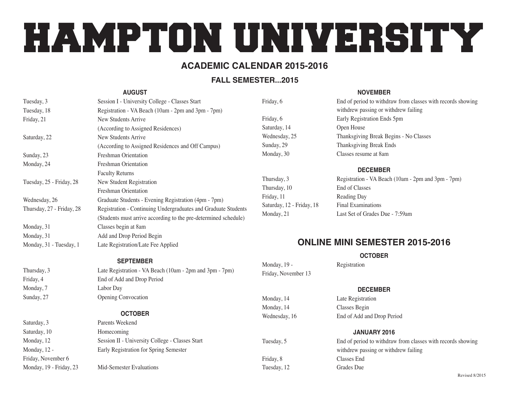# HAMPTON UNIVERSITY

## **Academic Calendar 2015-2016**

## **FALL SEMESTER...2015**

#### **August**

| Tuesday, 3                | Session I - University College - Classes Start                  |
|---------------------------|-----------------------------------------------------------------|
| Tuesday, 18               | Registration - VA Beach (10am - 2pm and 3pm - 7pm)              |
| Friday, 21                | New Students Arrive                                             |
|                           | (According to Assigned Residences)                              |
| Saturday, 22              | New Students Arrive                                             |
|                           | (According to Assigned Residences and Off Campus)               |
| Sunday, 23                | Freshman Orientation                                            |
| Monday, 24                | Freshman Orientation                                            |
|                           | <b>Faculty Returns</b>                                          |
| Tuesday, 25 - Friday, 28  | New Student Registration                                        |
|                           | Freshman Orientation                                            |
| Wednesday, 26             | Graduate Students - Evening Registration (4pm - 7pm)            |
| Thursday, 27 - Friday, 28 | Registration - Continuing Undergraduates and Graduate Students  |
|                           | (Students must arrive according to the pre-determined schedule) |
| Monday, 31                | Classes begin at 8am                                            |
| Monday, 31                | Add and Drop Period Begin                                       |
| Monday, 31 - Tuesday, 1   | Late Registration/Late Fee Applied                              |

#### **September**

Thursday, 3 Late Registration - VA Beach (10am - 2pm and 3pm - 7pm) Friday, 4 End of Add and Drop Period Monday, 7 Labor Day Sunday, 27 Opening Convocation

#### **October**

Saturday, 3 **Parents Weekend** Saturday, 10 Homecoming Monday, 12 Session II - University College - Classes Start Monday, 12 - Early Registration for Spring Semester

Monday, 19 - Friday, 23 Mid-Semester Evaluations

Friday, November 6

#### **November**

| Friday, 6     | End of period to withdraw from classes with records showing |
|---------------|-------------------------------------------------------------|
|               | withdrew passing or withdrew failing                        |
| Friday, 6     | Early Registration Ends 5pm                                 |
| Saturday, 14  | Open House                                                  |
| Wednesday, 25 | Thanksgiving Break Begins - No Classes                      |
| Sunday, 29    | Thanksgiving Break Ends                                     |
| Monday, 30    | Classes resume at 8am                                       |
|               |                                                             |

#### **December**

Thursday, 10 End of Classes Friday, 11 Reading Day Saturday, 12 - Friday, 18 Final Examinations

Thursday, 3 Registration - VA Beach (10am - 2pm and 3pm - 7pm) Monday, 21 Last Set of Grades Due - 7:59am

# **Online Mini Semester 2015-2016**

**October**

#### Monday, 19 - Registration Friday, November 13

#### **December**

Monday, 14 Late Registration Monday, 14 Classes Begin Wednesday, 16 End of Add and Drop Period

#### **January 2016**

Tuesday, 5 End of period to withdraw from classes with records showing withdrew passing or withdrew failing Friday, 8 Classes End Tuesday, 12 Grades Due